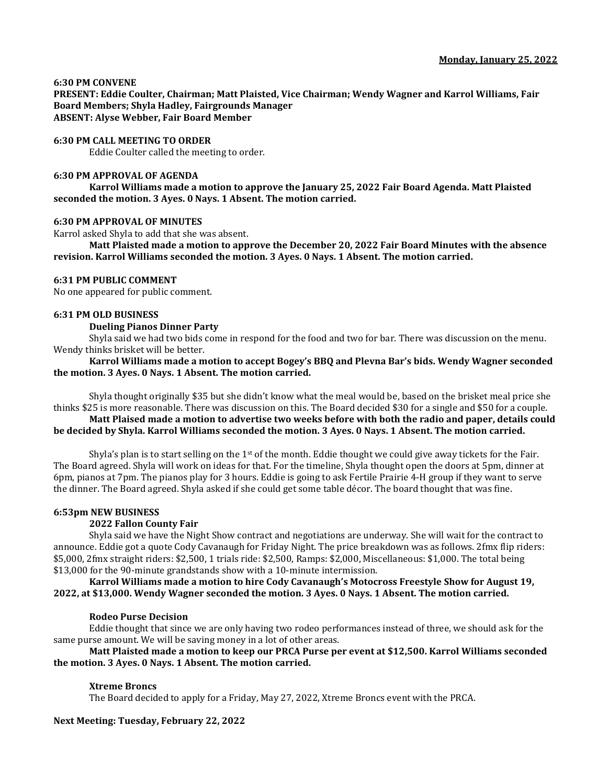## **6:30 PM CONVENE**

**PRESENT: Eddie Coulter, Chairman; Matt Plaisted, Vice Chairman; Wendy Wagner and Karrol Williams, Fair Board Members; Shyla Hadley, Fairgrounds Manager ABSENT: Alyse Webber, Fair Board Member**

### **6:30 PM CALL MEETING TO ORDER**

Eddie Coulter called the meeting to order.

### **6:30 PM APPROVAL OF AGENDA**

**Karrol Williams made a motion to approve the January 25, 2022 Fair Board Agenda. Matt Plaisted seconded the motion. 3 Ayes. 0 Nays. 1 Absent. The motion carried.**

### **6:30 PM APPROVAL OF MINUTES**

Karrol asked Shyla to add that she was absent.

**Matt Plaisted made a motion to approve the December 20, 2022 Fair Board Minutes with the absence revision. Karrol Williams seconded the motion. 3 Ayes. 0 Nays. 1 Absent. The motion carried.**

### **6:31 PM PUBLIC COMMENT**

No one appeared for public comment.

### **6:31 PM OLD BUSINESS**

## **Dueling Pianos Dinner Party**

Shyla said we had two bids come in respond for the food and two for bar. There was discussion on the menu. Wendy thinks brisket will be better.

## **Karrol Williams made a motion to accept Bogey's BBQ and Plevna Bar's bids. Wendy Wagner seconded the motion. 3 Ayes. 0 Nays. 1 Absent. The motion carried.**

Shyla thought originally \$35 but she didn't know what the meal would be, based on the brisket meal price she thinks \$25 is more reasonable. There was discussion on this. The Board decided \$30 for a single and \$50 for a couple.

# **Matt Plaised made a motion to advertise two weeks before with both the radio and paper, details could be decided by Shyla. Karrol Williams seconded the motion. 3 Ayes. 0 Nays. 1 Absent. The motion carried.**

Shyla's plan is to start selling on the  $1<sup>st</sup>$  of the month. Eddie thought we could give away tickets for the Fair. The Board agreed. Shyla will work on ideas for that. For the timeline, Shyla thought open the doors at 5pm, dinner at 6pm, pianos at 7pm. The pianos play for 3 hours. Eddie is going to ask Fertile Prairie 4-H group if they want to serve the dinner. The Board agreed. Shyla asked if she could get some table décor. The board thought that was fine.

## **6:53pm NEW BUSINESS**

## **2022 Fallon County Fair**

Shyla said we have the Night Show contract and negotiations are underway. She will wait for the contract to announce. Eddie got a quote Cody Cavanaugh for Friday Night. The price breakdown was as follows. 2fmx flip riders: \$5,000, 2fmx straight riders: \$2,500, 1 trials ride: \$2,500, Ramps: \$2,000, Miscellaneous: \$1,000. The total being \$13,000 for the 90-minute grandstands show with a 10-minute intermission.

**Karrol Williams made a motion to hire Cody Cavanaugh's Motocross Freestyle Show for August 19, 2022, at \$13,000. Wendy Wagner seconded the motion. 3 Ayes. 0 Nays. 1 Absent. The motion carried.**

#### **Rodeo Purse Decision**

Eddie thought that since we are only having two rodeo performances instead of three, we should ask for the same purse amount. We will be saving money in a lot of other areas.

## **Matt Plaisted made a motion to keep our PRCA Purse per event at \$12,500. Karrol Williams seconded the motion. 3 Ayes. 0 Nays. 1 Absent. The motion carried.**

## **Xtreme Broncs**

The Board decided to apply for a Friday, May 27, 2022, Xtreme Broncs event with the PRCA.

## **Next Meeting: Tuesday, February 22, 2022**